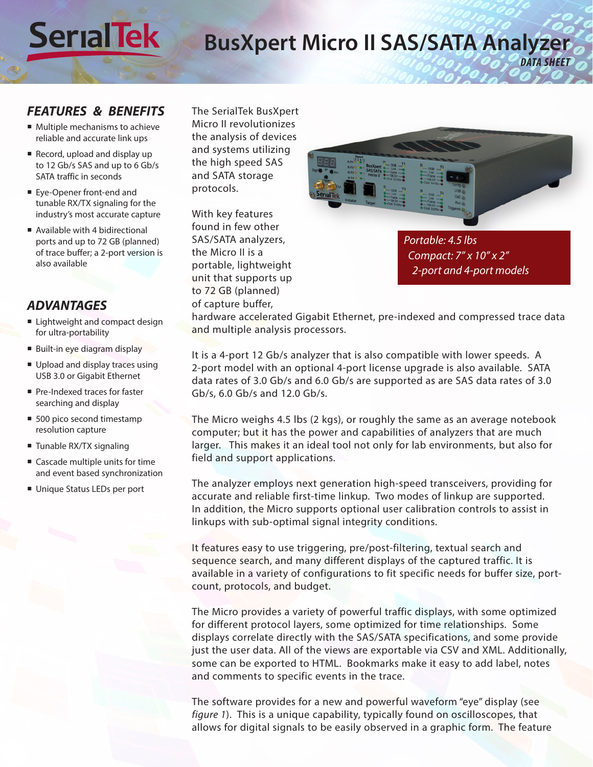## **BusXpert Micro II SAS/SATA Analyzer** *DATA SHEET*

#### *FEATURES & BENEFITS*

**Ser alTek**

- **Multiple mechanisms to achieve** reliable and accurate link ups
- Record, upload and display up to 12 Gb/s SAS and up to 6 Gb/s SATA traffic in seconds
- Eye-Opener front-end and tunable RX/TX signaling for the industry's most accurate capture
- Available with 4 bidirectional ports and up to 72 GB (planned) of trace buffer; a 2-port version is also available

#### *ADVANTAGES*

- Lightweight and compact design for ultra-portability
- Built-in eye diagram display
- Upload and display traces using USB 3.0 or Gigabit Ethernet
- Pre-Indexed traces for faster searching and display
- 500 pico second timestamp resolution capture
- Tunable RX/TX signaling
- Cascade multiple units for time and event based synchronization
- Unique Status LEDs per port

The SerialTek BusXpert Micro II revolutionizes the analysis of devices and systems utilizing the high speed SAS and SATA storage protocols.

With key features found in few other SAS/SATA analyzers, the Micro II is a portable, lightweight unit that supports up to 72 GB (planned) of capture buffer,



*Portable: 4.5 lbs Compact: 7" x 10" x 2" 2-port and 4-port models* 

hardware accelerated Gigabit Ethernet, pre-indexed and compressed trace data and multiple analysis processors.

It is a 4-port 12 Gb/s analyzer that is also compatible with lower speeds. A 2-port model with an optional 4-port license upgrade is also available. SATA data rates of 3.0 Gb/s and 6.0 Gb/s are supported as are SAS data rates of 3.0 Gb/s, 6.0 Gb/s and 12.0 Gb/s.

The Micro weighs 4.5 lbs (2 kgs), or roughly the same as an average notebook computer; but it has the power and capabilities of analyzers that are much larger. This makes it an ideal tool not only for lab environments, but also for field and support applications.

The analyzer employs next generation high-speed transceivers, providing for accurate and reliable first-time linkup. Two modes of linkup are supported. In addition, the Micro supports optional user calibration controls to assist in linkups with sub-optimal signal integrity conditions.

It features easy to use triggering, pre/post-filtering, textual search and sequence search, and many different displays of the captured traffic. It is available in a variety of configurations to fit specific needs for buffer size, portcount, protocols, and budget.

The Micro provides a variety of powerful traffic displays, with some optimized for different protocol layers, some optimized for time relationships. Some displays correlate directly with the SAS/SATA specifications, and some provide just the user data. All of the views are exportable via CSV and XML. Additionally, some can be exported to HTML. Bookmarks make it easy to add label, notes and comments to specific events in the trace.

The software provides for a new and powerful waveform "eye" display (see *figure 1*). This is a unique capability, typically found on oscilloscopes, that allows for digital signals to be easily observed in a graphic form. The feature